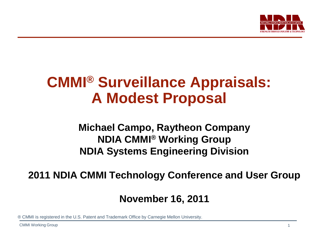

# **CMMI® Surveillance Appraisals: A Modest Proposal**

**Michael Campo, Raytheon Company NDIA CMMI® Working Group NDIA Systems Engineering Division**

**2011 NDIA CMMI Technology Conference and User Group**

**November 16, 2011**

® CMMI is registered in the U.S. Patent and Trademark Office by Carnegie Mellon University.

CMMI Working Group 1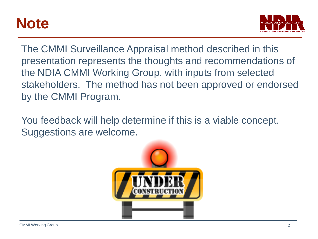# **Note**



The CMMI Surveillance Appraisal method described in this presentation represents the thoughts and recommendations of the NDIA CMMI Working Group, with inputs from selected stakeholders. The method has not been approved or endorsed by the CMMI Program.

You feedback will help determine if this is a viable concept. Suggestions are welcome.

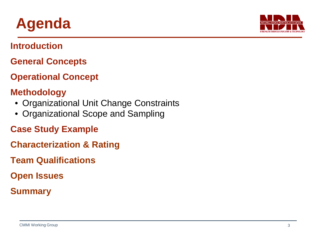

# **Agenda**

**Introduction**

- **General Concepts**
- **Operational Concept**

### **Methodology**

- Organizational Unit Change Constraints
- Organizational Scope and Sampling
- **Case Study Example**
- **Characterization & Rating**
- **Team Qualifications**
- **Open Issues**
- **Summary**

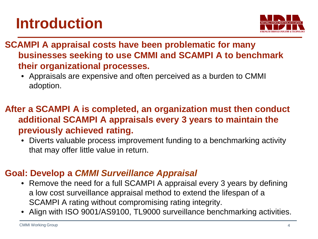# **Introduction**



**SCAMPI A appraisal costs have been problematic for many businesses seeking to use CMMI and SCAMPI A to benchmark their organizational processes.**

• Appraisals are expensive and often perceived as a burden to CMMI adoption.

### **After a SCAMPI A is completed, an organization must then conduct additional SCAMPI A appraisals every 3 years to maintain the previously achieved rating.**

• Diverts valuable process improvement funding to a benchmarking activity that may offer little value in return.

### **Goal: Develop a** *CMMI Surveillance Appraisal*

- Remove the need for a full SCAMPI A appraisal every 3 years by defining a low cost surveillance appraisal method to extend the lifespan of a SCAMPI A rating without compromising rating integrity.
- Align with ISO 9001/AS9100, TL9000 surveillance benchmarking activities.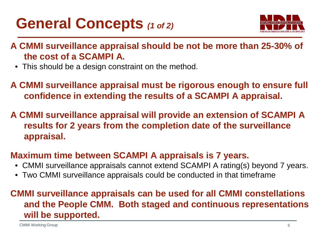# **General Concepts** *(1 of 2)*



- **A CMMI surveillance appraisal should be not be more than 25-30% of the cost of a SCAMPI A.**
	- This should be a design constraint on the method.
- **A CMMI surveillance appraisal must be rigorous enough to ensure full confidence in extending the results of a SCAMPI A appraisal.**
- **A CMMI surveillance appraisal will provide an extension of SCAMPI A results for 2 years from the completion date of the surveillance appraisal.**

### **Maximum time between SCAMPI A appraisals is 7 years.**

- CMMI surveillance appraisals cannot extend SCAMPI A rating(s) beyond 7 years.
- Two CMMI surveillance appraisals could be conducted in that timeframe

### **CMMI surveillance appraisals can be used for all CMMI constellations and the People CMM. Both staged and continuous representations will be supported.**

CMMI Working Group 6.5 and 200 minutes and 200 minutes of the contract of the contract of the contract of the contract of the contract of the contract of the contract of the contract of the contract of the contract of the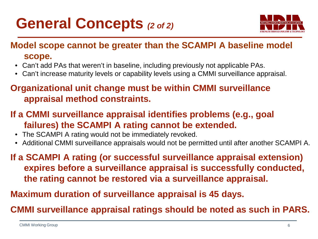# **General Concepts** *(2 of 2)*



### **Model scope cannot be greater than the SCAMPI A baseline model**

#### **scope.**

- Can't add PAs that weren't in baseline, including previously not applicable PAs.
- Can't increase maturity levels or capability levels using a CMMI surveillance appraisal.

### **Organizational unit change must be within CMMI surveillance appraisal method constraints.**

- **If a CMMI surveillance appraisal identifies problems (e.g., goal failures) the SCAMPI A rating cannot be extended.**
	- The SCAMPI A rating would not be immediately revoked.
	- Additional CMMI surveillance appraisals would not be permitted until after another SCAMPI A.

**If a SCAMPI A rating (or successful surveillance appraisal extension) expires before a surveillance appraisal is successfully conducted, the rating cannot be restored via a surveillance appraisal.**

**Maximum duration of surveillance appraisal is 45 days.**

**CMMI surveillance appraisal ratings should be noted as such in PARS.**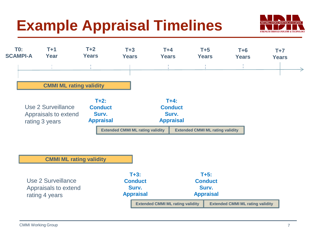# **Example Appraisal Timelines**





#### **CMMI ML rating validity**

Use 2 Surveillance Appraisals to extend rating 4 years

**T+3: Conduct Surv. Appraisal**

**T+5: Conduct Surv. Appraisal**

**Extended CMMI ML rating validity**

**Extended CMMI ML rating validity**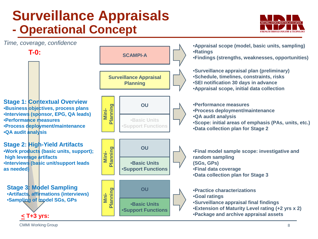## **Surveillance Appraisals - Operational Concept**





CMMI Working Group 8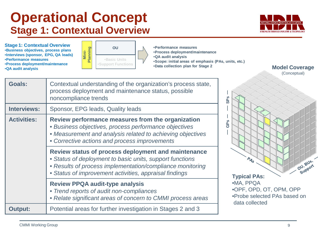### **Operational Concept Stage 1: Contextual Overview**



**Stage 1: Contextual Overview** •**Business objectives, process plans** •**Interviews (sponsor, EPG, QA leads)** •**Performance measures** •**Process deployment/maintenance** •**QA audit analysis**



•**Performance measures** •**Process deployment/maintenance** •**QA audit analysis** •**Scope: initial areas of emphasis (PAs, units, etc.)**

| <b>Goals:</b>      | Contextual understanding of the organization's process state,<br>process deployment and maintenance status, possible<br>noncompliance trends                                                                                           | تة                                                                                     |  |  |  |  |
|--------------------|----------------------------------------------------------------------------------------------------------------------------------------------------------------------------------------------------------------------------------------|----------------------------------------------------------------------------------------|--|--|--|--|
| <b>Interviews:</b> | Sponsor, EPG leads, Quality leads                                                                                                                                                                                                      |                                                                                        |  |  |  |  |
| <b>Activities:</b> | Review performance measures from the organization<br>• Business objectives, process performance objectives<br>• Measurement and analysis related to achieving objectives<br>• Corrective actions and process improvements              | 品                                                                                      |  |  |  |  |
|                    | Review status of process deployment and maintenance<br>• Status of deployment to basic units, support functions<br>• Results of process implementation/compliance monitoring<br>• Status of improvement activities, appraisal findings | $A_{s}$<br>OU.P<br>'sul<br><b>Typical PAs:</b>                                         |  |  |  |  |
|                    | <b>Review PPQA audit-type analysis</b><br>• Trend reports of audit non-compliances<br>• Relate significant areas of concern to CMMI process areas                                                                                      | •MA, PPQA<br>.OPF, OPD, OT, OPM, OPP<br>•Probe selected PAs based on<br>data collected |  |  |  |  |
| <b>Output:</b>     | Potential areas for further investigation in Stages 2 and 3                                                                                                                                                                            |                                                                                        |  |  |  |  |

**Model Coverage** (Conceptual)

OU, BUS, OU, BUS,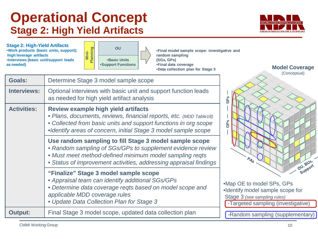### **Operational Concept Stage 2: High Yield Artifacts**



**Stage 2: High-Yield Artifacts** •**Work products (basic units, support); high leverage artifacts** •**Interviews (basic unit/support leads as needed)**



•**Final model sample scope: investigative and random sampling (SGs, GPs)** •**Final data coverage**

| <b>Output:</b>     | Final Stage 3 model scope, updated data collection plan                                                                                                                                                                                              | -Rando                                     |
|--------------------|------------------------------------------------------------------------------------------------------------------------------------------------------------------------------------------------------------------------------------------------------|--------------------------------------------|
|                    | "Finalize" Stage 3 model sample scope<br>• Appraisal team can identify additional SGs/GPs<br>• Determine data coverage regts based on model scope and<br>applicable MDD coverage rules<br>• Update Data Collection Plan for Stage 3                  | •Map OE<br>·Identify<br>Stage 3<br>-Target |
|                    | Use random sampling to fill Stage 3 model sample scope<br>• Random sampling of SGs/GPs to supplement evidence review<br>• Must meet method-defined minimum model sampling regts<br>• Status of improvement activities, addressing appraisal findings |                                            |
| <b>Activities:</b> | Review example high yield artifacts<br>• Plans, documents, reviews, financial reports, etc. (MDD Table18)<br>• Collected from basic units and support functions in org scope<br>•Identify areas of concern, initial Stage 3 model sample scope       | <b>GPS</b>                                 |
| <b>Interviews:</b> | Optional interviews with basic unit and support function leads<br>as needed for high yield artifact analysis                                                                                                                                         | SP <sub>S</sub>                            |
| <b>Goals:</b>      | Determine Stage 3 model sample scope                                                                                                                                                                                                                 |                                            |



to model SPs, GPs model sample scope for  $(see sampling rules)$ ted sampling (investigative)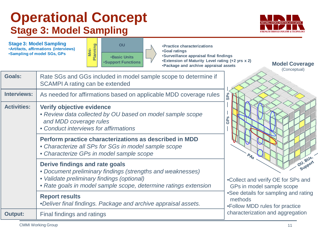### **Operational Concept Stage 3: Model Sampling**



**Stage 3: Model Sampling**  •**Artifacts, affirmations (interviews)** •**Sampling of model SGs, GPs**



•**Practice characterizations** •**Goal ratings** •**Surveillance appraisal final findings** •**Extension of Maturity Level rating (+2 yrs x 2)** •**Package and archive appraisal assets**

**Goals:** Rate SGs and GGs included in model sample scope to determine if SCAMPI A rating can be extended **Interviews:** As needed for affirmations based on applicable MDD coverage rules **Activities: Verify objective evidence** • *Review data collected by OU based on model sample scope and MDD coverage rules* • *Conduct interviews for affirmations* **Perform practice characterizations as described in MDD** • *Characterize all SPs for SGs in model sample scope* • *Characterize GPs in model sample scope* **Derive findings and rate goals** • *Document preliminary findings (strengths and weaknesses)* • *Validate preliminary findings (optional)* • *Rate goals in model sample scope, determine ratings extension* **Report results** •*Deliver final findings. Package and archive appraisal assets.* **Output:** Final findings and ratings •Collect and verify OE for SPs and GPs in model sample scope •See details for sampling and rating methods •Follow MDD rules for practice **characterization and aggregation**<br>
Follow MDD rules for practice<br>
characterization and aggregation

**Model Coverage**

(Conceptual)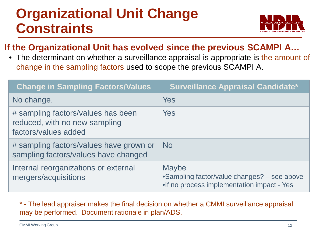# **Organizational Unit Change Constraints**



### **If the Organizational Unit has evolved since the previous SCAMPI A…**

• The determinant on whether a surveillance appraisal is appropriate is the amount of change in the sampling factors used to scope the previous SCAMPI A.

| <b>Change in Sampling Factors/Values</b>                                                    | <b>Surveillance Appraisal Candidate*</b>                                                                   |
|---------------------------------------------------------------------------------------------|------------------------------------------------------------------------------------------------------------|
| No change.                                                                                  | <b>Yes</b>                                                                                                 |
| # sampling factors/values has been<br>reduced, with no new sampling<br>factors/values added | Yes                                                                                                        |
| # sampling factors/values have grown or<br>sampling factors/values have changed             | <b>No</b>                                                                                                  |
| Internal reorganizations or external<br>mergers/acquisitions                                | <b>Maybe</b><br>•Sampling factor/value changes? - see above<br>. If no process implementation impact - Yes |

\* - The lead appraiser makes the final decision on whether a CMMI surveillance appraisal may be performed. Document rationale in plan/ADS.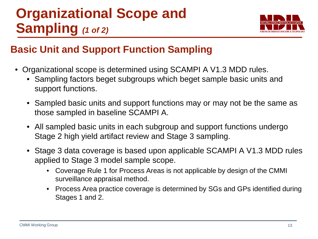# **Organizational Scope and Sampling** *(1 of 2)*



### **Basic Unit and Support Function Sampling**

- Organizational scope is determined using SCAMPI A V1.3 MDD rules.
	- Sampling factors beget subgroups which beget sample basic units and support functions.
	- Sampled basic units and support functions may or may not be the same as those sampled in baseline SCAMPI A.
	- All sampled basic units in each subgroup and support functions undergo Stage 2 high yield artifact review and Stage 3 sampling.
	- Stage 3 data coverage is based upon applicable SCAMPI A V1.3 MDD rules applied to Stage 3 model sample scope.
		- Coverage Rule 1 for Process Areas is not applicable by design of the CMMI surveillance appraisal method.
		- Process Area practice coverage is determined by SGs and GPs identified during Stages 1 and 2.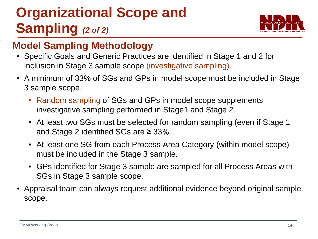# **Organizational Scope and Sampling** *(2 of 2)*



### **Model Sampling Methodology**

- Specific Goals and Generic Practices are identified in Stage 1 and 2 for inclusion in Stage 3 sample scope (investigative sampling).
- A minimum of 33% of SGs and GPs in model scope must be included in Stage 3 sample scope.
	- Random sampling of SGs and GPs in model scope supplements investigative sampling performed in Stage1 and Stage 2.
	- At least two SGs must be selected for random sampling (even if Stage 1) and Stage 2 identified SGs are  $\geq$  33%.
	- At least one SG from each Process Area Category (within model scope) must be included in the Stage 3 sample.
	- GPs identified for Stage 3 sample are sampled for all Process Areas with SGs in Stage 3 sample scope.
- Appraisal team can always request additional evidence beyond original sample scope.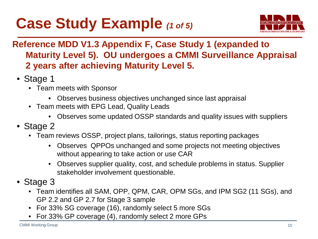# **Case Study Example** *(1 of 5)*



### **Reference MDD V1.3 Appendix F, Case Study 1 (expanded to Maturity Level 5). OU undergoes a CMMI Surveillance Appraisal 2 years after achieving Maturity Level 5.**

- Stage 1
	- Team meets with Sponsor
		- Observes business objectives unchanged since last appraisal
	- Team meets with EPG Lead, Quality Leads
		- Observes some updated OSSP standards and quality issues with suppliers
- Stage 2
	- Team reviews OSSP, project plans, tailorings, status reporting packages
		- Observes QPPOs unchanged and some projects not meeting objectives without appearing to take action or use CAR
		- Observes supplier quality, cost, and schedule problems in status. Supplier stakeholder involvement questionable.
- Stage 3
	- Team identifies all SAM, OPP, QPM, CAR, OPM SGs, and IPM SG2 (11 SGs), and GP 2.2 and GP 2.7 for Stage 3 sample
	- For 33% SG coverage (16), randomly select 5 more SGs
	- For 33% GP coverage (4), randomly select 2 more GPs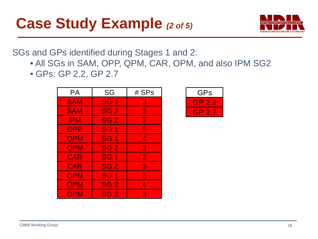# **Case Study Example** *(2 of 5)*



SGs and GPs identified during Stages 1 and 2:

- All SGs in SAM, OPP, QPM, CAR, OPM, and also IPM SG2
- GPs: GP 2.2, GP 2.7

| <b>PA</b>  | SG              | # SPs          |
|------------|-----------------|----------------|
| <b>SAM</b> | <b>SG1</b>      | 8              |
| <b>SAM</b> | SG <sub>2</sub> | $\overline{3}$ |
| <b>IPM</b> | SG <sub>2</sub> | 3.             |
| OPP        | <b>SG1</b>      | 5              |
| <b>QPM</b> | <b>SG1</b>      | 4              |
| QPM        | <b>SG 2</b>     | 3              |
| CAR        | <b>SG1</b>      | $\overline{2}$ |
| <b>CAR</b> | SG <sub>2</sub> | 3              |
| <b>OPM</b> | <b>SG1</b>      | 3              |
| <b>OPM</b> | SG <sub>2</sub> | 4              |
| <b>OPM</b> | SG <sub>3</sub> | 3              |

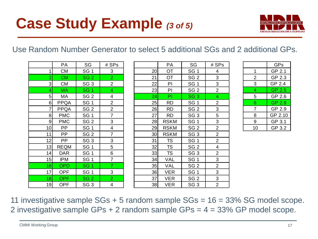

#### Use Random Number Generator to select 5 additional SGs and 2 additional GPs.

|                | PA          | SG              | # SPs          |    | PA          |
|----------------|-------------|-----------------|----------------|----|-------------|
| 1              | <b>CM</b>   | SG <sub>1</sub> | 3              | 20 | OT          |
| $\overline{2}$ | <b>CM</b>   | SG <sub>2</sub> | $\overline{2}$ | 21 | OT          |
| 3              | <b>CM</b>   | SG <sub>3</sub> | 2              | 22 | PI          |
| 4              | <b>MA</b>   | SG <sub>1</sub> | 4              | 23 | PI          |
| 5              | MA          | SG <sub>2</sub> | 4              | 24 | PI          |
| 6              | <b>PPQA</b> | SG <sub>1</sub> | 2              | 25 | <b>RD</b>   |
| 7              | PPQA        | SG <sub>2</sub> | 2              | 26 | <b>RD</b>   |
| 8              | <b>PMC</b>  | SG <sub>1</sub> | 7              | 27 | <b>RD</b>   |
| 9              | <b>PMC</b>  | SG <sub>2</sub> | 3              | 28 | <b>RSKM</b> |
| 10             | PP          | SG <sub>1</sub> | 4              | 29 | <b>RSKM</b> |
| 11             | PP          | SG <sub>2</sub> | 7              | 30 | <b>RSKM</b> |
| 12             | PP          | SG <sub>3</sub> | 3              | 31 | <b>TS</b>   |
| 13             | <b>REQM</b> | SG <sub>1</sub> | 5              | 32 | TS          |
| 14             | <b>DAR</b>  | SG <sub>1</sub> | 6              | 33 | <b>TS</b>   |
| 15             | <b>IPM</b>  | SG <sub>1</sub> | 7              | 34 | VAL         |
| 16             | <b>OPD</b>  | SG <sub>1</sub> | $\overline{7}$ | 35 | VAL         |
| 17             | <b>OPF</b>  | SG <sub>1</sub> | 3              | 36 | <b>VER</b>  |
| 18             | <b>OPF</b>  | SG <sub>2</sub> | $\overline{2}$ | 37 | VER         |
| 19             | <b>OPF</b>  | SG <sub>3</sub> | 4              | 38 | <b>VER</b>  |

|    | GPs     |
|----|---------|
| 1  | GP 2.1  |
| 2  | GP 2.3  |
| 3  | GP 2.4  |
| 4  | GP 2.5  |
| 5  | GP 2.6  |
| 6  | GP 2.8  |
| 7  | GP 2.9  |
| 8  | GP 2.10 |
| 9  | GP 3.1  |
| 10 | GP 3.2  |

11 investigative sample SGs + 5 random sample SGs = 16 = 33% SG model scope. 2 investigative sample GPs + 2 random sample GPs = 4 = 33% GP model scope.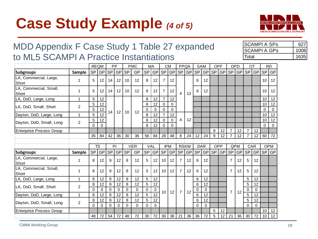# **Case Study Example** *(4 of 5)*



### MDD Appendix F Case Study 1 Table 27 expanded to ML5 SCAMPI A Practice Instantiations

| ISCAMPI A SPs | 627   |
|---------------|-------|
| ISCAMPI A GPs | 1008l |
| ITotal        | 16351 |

|                                 |                |           | <b>REQM</b>       |           | PP       |                 | <b>PMC</b> | MA        |                 |                            | <b>CM</b>  | PPQA           |                 |           | <b>SAM</b>  | OPF |           |                | OPD       | OT                  |           |           | <b>RD</b>  |
|---------------------------------|----------------|-----------|-------------------|-----------|----------|-----------------|------------|-----------|-----------------|----------------------------|------------|----------------|-----------------|-----------|-------------|-----|-----------|----------------|-----------|---------------------|-----------|-----------|------------|
| <b>Subgroups</b>                | <b>Sample</b>  | <b>SP</b> | <b>GP</b>         | SP        | GP       | <b>SP</b>       | GP         | <b>SP</b> | <b>GP</b>       | $\ensuremath{\mathsf{SP}}$ | <b>GP</b>  | <b>SP</b>      | GP              | <b>SP</b> | <b>GP</b>   | SP  | <b>GP</b> | <b>SP</b>      | <b>GP</b> | <b>SP</b>           | <b>GP</b> | <b>SP</b> | GP         |
| LA, Commercial, Large,<br>Short | 1              | 5         | $12 \overline{ }$ | 14        | 12       | 10              | 12         | 8         | 12              | 7                          | 12         |                |                 | 6         | 12          |     |           |                |           |                     |           | 10        | 12         |
| LA, Commercial, Small,<br>Short | 1              | 5         | 12                | 14        | 12       | 10              | 12         | 8         | 12              | 7                          | 12         | 4              | 12 <sup>2</sup> | 6         | 12          |     |           |                |           |                     |           | 10        | 12         |
| LA, DoD, Large, Long            | 1              | 5         | $12 \overline{ }$ |           |          |                 |            | 8         | 12              | 7                          | 12         |                |                 |           |             |     |           |                |           |                     |           | 10        | 12         |
| LA, DoD, Small, Short           | 2              | 5         | 12                |           |          |                 |            | 8         | 12              | 0                          | 0          |                |                 |           |             |     |           |                |           |                     |           | 10        | 12         |
|                                 |                | 5         | 12                | 14        | 12       | 10 <sup>°</sup> | 12         | $\Omega$  | 0               | $\Omega$                   | $\Omega$   |                |                 |           |             |     |           |                |           |                     |           | $\Omega$  | $\Omega$   |
| Dayton, DoD, Large, Long        | $\mathbf{1}$   | 5         | 12                |           |          |                 |            | 8         | 12              | 7                          | 12         |                |                 |           |             |     |           |                |           |                     |           | 10        | 12         |
| Dayton, DoD, Small, Long        | $\overline{2}$ | 5         | 12                |           |          |                 |            | 8         | 12              | $\Omega$                   | 0          | 4              | 12              |           |             |     |           |                |           |                     |           | 10        | 12         |
|                                 |                | $\Omega$  | $\Omega$          |           |          |                 |            | 8         | 12              | $\Omega$                   | $\Omega$   |                |                 |           |             |     |           |                |           |                     |           | $\Omega$  | $\Omega$   |
| <b>Enterprise Process Group</b> |                |           |                   |           |          |                 |            |           |                 |                            |            |                |                 |           |             | 9   | 12        | $\overline{7}$ | 12        | $\overline{7}$<br>7 | 12        |           |            |
|                                 |                | 35        | 84                | 42        | 36       | 30              | 36         | 56        | 84              | 28                         | 48         | 8              | 24              | 12        | 24          | 9   | 12        | 7              | 12        |                     | 12        | 60        | 72         |
|                                 |                |           | <b>TS</b>         |           | PI       |                 | <b>VER</b> |           | VAL             |                            | <b>IPM</b> | <b>RSKM</b>    |                 |           | <b>DAR</b>  | OPP |           |                | QPM       |                     | CAR       |           | <b>OPM</b> |
| <b>Subgroups</b>                | Sample         | <b>SP</b> | <b>GP</b>         | <b>SP</b> | GP       | <b>SP</b>       | GP         | <b>SP</b> | <b>GP</b>       | <b>SP</b>                  | GP         | SP             | GP              | SP        | GP          | SP  | GP        | SP             | <b>GP</b> | SP                  | GP        | <b>SP</b> | GP         |
| LA, Commercial, Large,<br>Short | 1              | 8         | 12                | 9         | 12       | 8               | 12         | 5         | 12              | 10                         | 12         | $\overline{7}$ | 12              | 6         | 12          |     |           | 7              | 12        | 5                   | 12        |           |            |
| LA, Commercial, Small,<br>Short | 1              | 8         | 12                | 9         | 12       | 8               | 12         | 5         | 12              | 10                         | 12         | $\overline{7}$ | 12              | 6         | 12          |     |           | $\overline{7}$ | 12        | 5                   | 12        |           |            |
| LA, DoD, Large, Long            | $\mathbf{1}$   | 8         | 12                | 9         | 12       | 8               | 12         | 5         | 12              |                            |            |                |                 | 6         | 12          |     |           |                |           | 5                   | 12        |           |            |
| LA, DoD, Small, Short           | 2              | 8         | 12                | 9         | 12       | 8               | 12         | 5         | 12              |                            |            |                |                 | 6         | 12          |     |           |                |           | 5                   | 12        |           |            |
|                                 |                | $\Omega$  | $\Omega$          | 0         | 0        | 0               | 0          | 0         | 0               | 10 <sup>1</sup>            | 12         | $\overline{7}$ | 12              | 0         | 0           |     |           | $\overline{7}$ | 12        | 0                   | 0         |           |            |
| Dayton, DoD, Large, Long        | $\mathbf{1}$   | 8         | 12                | 9         | 12       | 8               | 12         | 5         | $\overline{12}$ |                            |            |                |                 | 6         | 12          |     |           |                |           | 5                   | 12        |           |            |
| Dayton, DoD, Small, Long        | 2              | 8         | 12                | 9         | 12       | 8               | 12         | 5         | 12              |                            |            |                |                 | 6         | 12          |     |           |                |           | 5                   | 12        |           |            |
|                                 |                | $\Omega$  | 0                 | 0         | $\Omega$ | 0               | $\Omega$   | $\Omega$  | 0               |                            |            |                |                 | $\Omega$  | $\mathbf 0$ |     |           |                |           | 0                   | $\Omega$  |           |            |
| <b>Enterprise Process Group</b> |                |           |                   |           |          |                 |            |           |                 |                            |            |                |                 |           |             | 5   | 12        |                |           |                     |           | 10        | 12         |
|                                 |                | 48        | 72                | 54        | 72       | 48              | 72         | 30        | 72              | 30                         | 36         | 21             | 36              | 36        | 72          | 5   | 12        | 21             | 36        | 30                  | 72        | 10        | 12         |

CMMI Working Group 18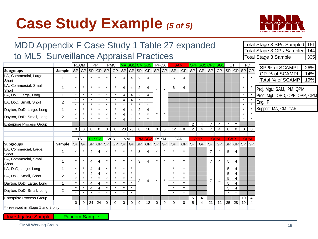# **Case Study Example** *(5 of 5)*



| MDD Appendix F Case Study 1 Table 27 expanded |                |             |                    |              |                |                    |                   |                |                |                |                    |                |          |                    |          |                |                 |                |                                  |              |              |                 |                | Total Stage 3 SPs Sampled 161                                       |
|-----------------------------------------------|----------------|-------------|--------------------|--------------|----------------|--------------------|-------------------|----------------|----------------|----------------|--------------------|----------------|----------|--------------------|----------|----------------|-----------------|----------------|----------------------------------|--------------|--------------|-----------------|----------------|---------------------------------------------------------------------|
| to ML5 Surveillance Appraisal Practices       |                |             |                    |              |                |                    |                   |                |                |                |                    |                |          |                    |          |                |                 |                |                                  |              |              |                 |                | Total Stage 3 GPs Sampled 144<br>305<br><b>Total Stage 3 Sample</b> |
|                                               |                | <b>REQM</b> |                    | <b>PP</b>    |                |                    | <b>PMC</b>        |                | MA SG1         |                | CM SG <sub>2</sub> | <b>PPQA</b>    |          | <b>SAM</b>         |          |                | OPF SG2OPPD SG1 |                |                                  | OT           |              | <b>RD</b>       |                |                                                                     |
| <b>Subgroups</b>                              | Sample         |             |                    |              |                |                    | SP GP SP GP SP GP |                | SP GP SP       |                | GP SP GP           |                |          | <b>SP</b>          | GP       | <b>SP</b>      |                 |                | GP   SP   GP   SP   GP   SP   GP |              |              |                 |                | SP % of SCAMPI<br>26%                                               |
| LA, Commercial, Large,<br>Short               |                |             |                    |              |                |                    |                   | 4              |                | 2              |                    |                |          | 6                  |          |                |                 |                |                                  |              |              |                 |                | GP % of SCAMPI<br>14%<br>Total % of SCAMPI<br>19%                   |
| LA, Commercial, Small,<br>Short               | 1              |             | $\star$            |              |                | $\star$            |                   | 4              |                | 2              | 4                  | $\star$        |          | 6                  | 4        |                |                 |                |                                  |              |              | $\star$         |                | Proj. Mgt.: SAM, IPM, QPM                                           |
| LA, DoD, Large, Long                          | 1              |             | $\star$            | $\star$      |                | $\star$            |                   | 4              | 4              | $\overline{2}$ | 4                  |                |          |                    |          |                |                 |                |                                  |              |              |                 |                | Proc. Mgt.: OPD, OPF, OPP, OPM                                      |
| LA, DoD, Small, Short                         | 2              |             | $\star$<br>$\star$ | $\star$      |                | $\star$            | $\star$           |                |                |                | $\star$            |                |          |                    |          |                |                 |                |                                  |              |              |                 |                | Eng.: PI                                                            |
| Dayton, DoD, Large, Long                      | $\mathbf{1}$   |             | $\star$            |              |                | $\star$            | $\star$           | $\overline{4}$ | $\overline{4}$ | $\overline{2}$ | 4                  |                |          |                    |          |                |                 |                |                                  |              |              |                 |                | Support: MA, CM, CAR                                                |
|                                               |                |             | $\star$            |              |                |                    |                   |                |                |                | $\star$            |                |          |                    |          |                |                 |                |                                  |              |              | $\star$         |                |                                                                     |
| Dayton, DoD, Small, Long                      | $\overline{2}$ |             | $\star$            | $\star$      |                | $\star$            | $\star$           | 4              | 4              | $\star$        | $\star$            |                |          |                    |          |                |                 |                |                                  |              |              | $\star$         |                |                                                                     |
| <b>Enterprise Process Group</b>               |                |             |                    |              |                |                    |                   |                |                |                |                    |                |          |                    |          | $\overline{2}$ | 4               | $\overline{7}$ | 4                                |              |              |                 |                |                                                                     |
|                                               |                | $\Omega$    | 0                  | $\Omega$     | $\Omega$       | $\mathbf 0$        | $\mathbf 0$       | 28             | 28             | 8              | 16                 | $\Omega$       | $\Omega$ | 12                 | 8        | 2              | 4               | $\overline{7}$ | $\overline{\mathbf{A}}$          | 0            | $\Omega$     | 0               | 0              |                                                                     |
|                                               |                |             |                    |              |                |                    |                   |                |                |                |                    |                |          |                    |          |                |                 |                |                                  |              |              |                 |                |                                                                     |
|                                               |                |             |                    |              |                |                    |                   |                |                |                |                    |                |          |                    |          |                |                 |                |                                  |              |              |                 |                |                                                                     |
|                                               |                |             | <b>TS</b>          | PI SG3       |                |                    | <b>VER</b>        | VAL            |                | <b>IPM</b>     | <b>SG7</b>         | <b>RSKM</b>    |          | <b>DAR</b>         |          |                | OPP             |                | <b>QPM</b>                       | <b>CAR</b>   |              | <b>OPM</b>      |                |                                                                     |
| <b>Subgroups</b><br>LA, Commercial, Large,    | Sample         |             | SP   GP            | 4            | SP GP SP <br>4 |                    | GP                |                | SP   GP        | SP<br>3        | GP<br>4            | SP GP          |          | <b>SP</b>          | GP       | SP             | GP              | <b>SP</b><br>7 | GP<br>4                          | 5            | SP GP<br>4   | $SP$ GP         |                |                                                                     |
| Short<br>LA, Commercial, Small,<br>Short      |                |             |                    | 4            | 4              |                    |                   |                |                | 3              | 4                  |                |          |                    |          |                |                 | $\overline{7}$ | 4                                | 5            | 4            |                 |                |                                                                     |
| LA, DoD, Large, Long                          | 1              |             |                    | 4            | 4              | $\star$            |                   |                |                |                |                    |                |          |                    |          |                |                 |                |                                  | 5            | 4            |                 |                |                                                                     |
|                                               |                |             |                    | 4            | $\overline{4}$ | $\star$            |                   |                |                |                |                    |                |          | $\star$            |          |                |                 |                |                                  | 5            | 4            |                 |                |                                                                     |
| LA, DoD, Small, Short                         | 2              |             | $\star$            | $\star$      |                | $\star$            |                   |                |                | 3              | 4                  |                |          | $\star$            |          |                |                 | $\overline{7}$ | $\overline{4}$                   | 5            | 4            |                 |                |                                                                     |
| Dayton, DoD, Large, Long                      |                |             | $\star$            | 4            | $\overline{4}$ | $\star$            |                   | $\star$        |                |                |                    |                |          | $\star$            |          |                |                 |                |                                  | 5            | 4            |                 |                |                                                                     |
| Dayton, DoD, Small, Long                      | $\overline{2}$ |             | $\star$            | 4<br>$\star$ | $\overline{4}$ | $\star$<br>$\star$ | $\star$           | $\star$        |                |                |                    |                |          | $\star$<br>$\star$ |          |                |                 |                |                                  | 5<br>$\star$ | 4<br>$\star$ |                 |                |                                                                     |
|                                               |                |             |                    |              |                |                    |                   |                |                |                |                    |                |          |                    |          | 5              | $\overline{4}$  |                |                                  |              |              | 10 <sup>°</sup> | $\overline{4}$ |                                                                     |
| <b>Enterprise Process Group</b>               |                | $\Omega$    | $\mathbf{0}$       | 24           | 24             | $\mathbf 0$        | $\mathbf 0$       | $\mathbf 0$    | $\mathbf 0$    | 9              | 12                 | $\overline{0}$ | 0        | $\mathbf 0$        | $\Omega$ | 5              | 4               | 21             | 12 <sup>2</sup>                  | 35           | 28           | 10              | $\overline{4}$ |                                                                     |
| * - reviewed in Stage 1 and 2 only            |                |             |                    |              |                |                    |                   |                |                |                |                    |                |          |                    |          |                |                 |                |                                  |              |              |                 |                |                                                                     |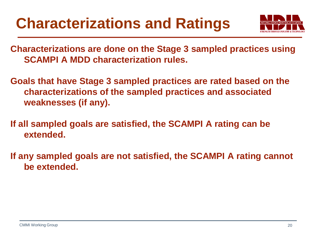

**Characterizations are done on the Stage 3 sampled practices using SCAMPI A MDD characterization rules.**

**Goals that have Stage 3 sampled practices are rated based on the characterizations of the sampled practices and associated weaknesses (if any).**

**If all sampled goals are satisfied, the SCAMPI A rating can be extended.**

**If any sampled goals are not satisfied, the SCAMPI A rating cannot be extended.**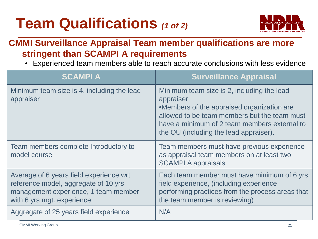# **Team Qualifications** *(1 of 2)*



### **CMMI Surveillance Appraisal Team member qualifications are more stringent than SCAMPI A requirements**

• Experienced team members able to reach accurate conclusions with less evidence

| <b>SCAMPIA</b>                                                                                                                                        | <b>Surveillance Appraisal</b>                                                                                                                                                                                                                   |
|-------------------------------------------------------------------------------------------------------------------------------------------------------|-------------------------------------------------------------------------------------------------------------------------------------------------------------------------------------------------------------------------------------------------|
| Minimum team size is 4, including the lead<br>appraiser                                                                                               | Minimum team size is 2, including the lead<br>appraiser<br>•Members of the appraised organization are<br>allowed to be team members but the team must<br>have a minimum of 2 team members external to<br>the OU (including the lead appraiser). |
| Team members complete Introductory to<br>model course                                                                                                 | Team members must have previous experience<br>as appraisal team members on at least two<br><b>SCAMPI A appraisals</b>                                                                                                                           |
| Average of 6 years field experience wrt<br>reference model, aggregate of 10 yrs<br>management experience, 1 team member<br>with 6 yrs mgt. experience | Each team member must have minimum of 6 yrs<br>field experience, (including experience<br>performing practices from the process areas that<br>the team member is reviewing)                                                                     |
| Aggregate of 25 years field experience                                                                                                                | N/A                                                                                                                                                                                                                                             |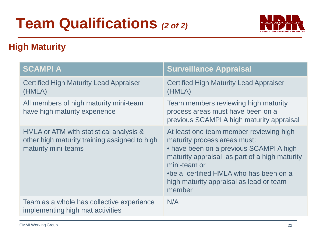# **Team Qualifications** *(2 of 2)*



### **High Maturity**

| <b>SCAMPIA</b>                                                                                                  | <b>Surveillance Appraisal</b>                                                                                                                                                                                                                                                      |
|-----------------------------------------------------------------------------------------------------------------|------------------------------------------------------------------------------------------------------------------------------------------------------------------------------------------------------------------------------------------------------------------------------------|
| <b>Certified High Maturity Lead Appraiser</b><br>(HMLA)                                                         | <b>Certified High Maturity Lead Appraiser</b><br>(HMLA)                                                                                                                                                                                                                            |
| All members of high maturity mini-team<br>have high maturity experience                                         | Team members reviewing high maturity<br>process areas must have been on a<br>previous SCAMPI A high maturity appraisal                                                                                                                                                             |
| HMLA or ATM with statistical analysis &<br>other high maturity training assigned to high<br>maturity mini-teams | At least one team member reviewing high<br>maturity process areas must:<br>• have been on a previous SCAMPI A high<br>maturity appraisal as part of a high maturity<br>mini-team or<br>•be a certified HMLA who has been on a<br>high maturity appraisal as lead or team<br>member |
| Team as a whole has collective experience<br>implementing high mat activities                                   | N/A                                                                                                                                                                                                                                                                                |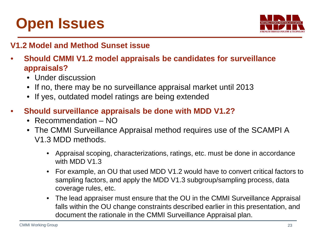# **Open Issues**



#### **V1.2 Model and Method Sunset issue**

- **Should CMMI V1.2 model appraisals be candidates for surveillance appraisals?**
	- Under discussion
	- If no, there may be no surveillance appraisal market until 2013
	- If yes, outdated model ratings are being extended
- **Should surveillance appraisals be done with MDD V1.2?**
	- Recommendation NO
	- The CMMI Surveillance Appraisal method requires use of the SCAMPI A V1.3 MDD methods.
		- Appraisal scoping, characterizations, ratings, etc. must be done in accordance with MDD V1.3
		- For example, an OU that used MDD V1.2 would have to convert critical factors to sampling factors, and apply the MDD V1.3 subgroup/sampling process, data coverage rules, etc.
		- The lead appraiser must ensure that the OU in the CMMI Surveillance Appraisal falls within the OU change constraints described earlier in this presentation, and document the rationale in the CMMI Surveillance Appraisal plan.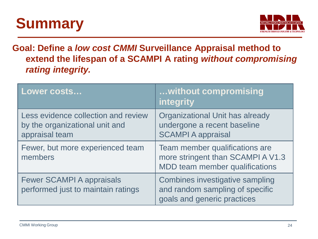# **Summary**



### **Goal: Define a** *low cost CMMI* **Surveillance Appraisal method to extend the lifespan of a SCAMPI A rating** *without compromising rating integrity.*

| Lower costs                                                                             | without compromising<br><b>integrity</b>                                                              |
|-----------------------------------------------------------------------------------------|-------------------------------------------------------------------------------------------------------|
| Less evidence collection and review<br>by the organizational unit and<br>appraisal team | <b>Organizational Unit has already</b><br>undergone a recent baseline<br><b>SCAMPI A appraisal</b>    |
| Fewer, but more experienced team<br>members                                             | Team member qualifications are<br>more stringent than SCAMPI A V1.3<br>MDD team member qualifications |
| <b>Fewer SCAMPI A appraisals</b><br>performed just to maintain ratings                  | Combines investigative sampling<br>and random sampling of specific<br>goals and generic practices     |